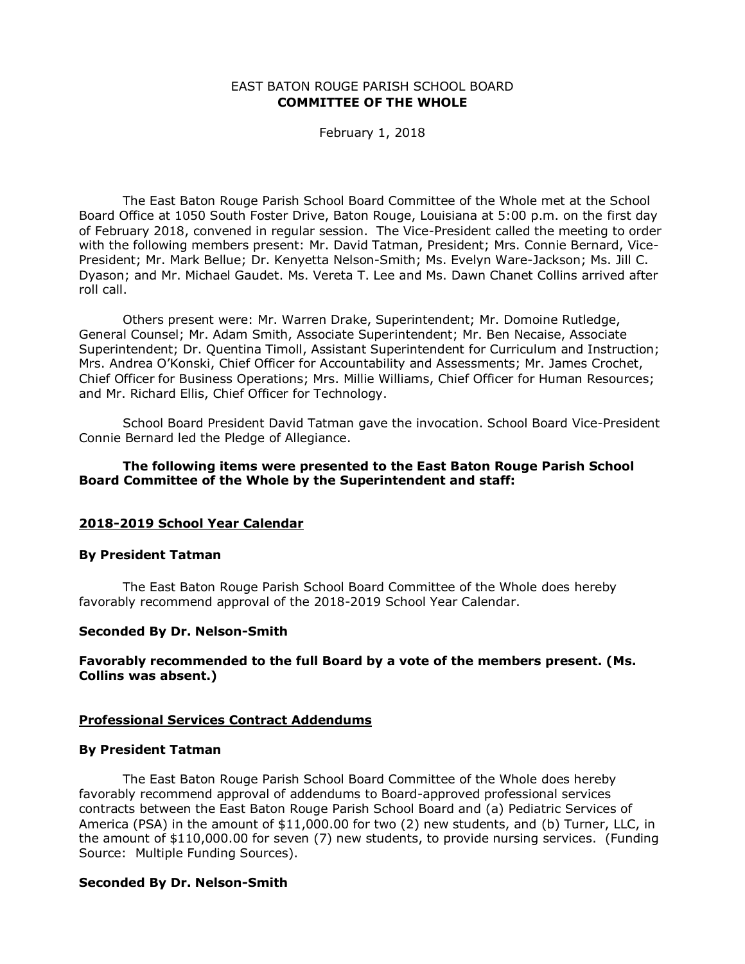#### EAST BATON ROUGE PARISH SCHOOL BOARD **COMMITTEE OF THE WHOLE**

February 1, 2018

The East Baton Rouge Parish School Board Committee of the Whole met at the School Board Office at 1050 South Foster Drive, Baton Rouge, Louisiana at 5:00 p.m. on the first day of February 2018, convened in regular session. The Vice-President called the meeting to order with the following members present: Mr. David Tatman, President; Mrs. Connie Bernard, Vice-President; Mr. Mark Bellue; Dr. Kenyetta Nelson-Smith; Ms. Evelyn Ware-Jackson; Ms. Jill C. Dyason; and Mr. Michael Gaudet. Ms. Vereta T. Lee and Ms. Dawn Chanet Collins arrived after roll call.

Others present were: Mr. Warren Drake, Superintendent; Mr. Domoine Rutledge, General Counsel; Mr. Adam Smith, Associate Superintendent; Mr. Ben Necaise, Associate Superintendent; Dr. Quentina Timoll, Assistant Superintendent for Curriculum and Instruction; Mrs. Andrea O'Konski, Chief Officer for Accountability and Assessments; Mr. James Crochet, Chief Officer for Business Operations; Mrs. Millie Williams, Chief Officer for Human Resources; and Mr. Richard Ellis, Chief Officer for Technology.

School Board President David Tatman gave the invocation. School Board Vice-President Connie Bernard led the Pledge of Allegiance.

#### **The following items were presented to the East Baton Rouge Parish School Board Committee of the Whole by the Superintendent and staff:**

#### **2018-2019 School Year Calendar**

#### **By President Tatman**

The East Baton Rouge Parish School Board Committee of the Whole does hereby favorably recommend approval of the 2018-2019 School Year Calendar.

#### **Seconded By Dr. Nelson-Smith**

### **Favorably recommended to the full Board by a vote of the members present. (Ms. Collins was absent.)**

#### **Professional Services Contract Addendums**

#### **By President Tatman**

The East Baton Rouge Parish School Board Committee of the Whole does hereby favorably recommend approval of addendums to Board-approved professional services contracts between the East Baton Rouge Parish School Board and (a) Pediatric Services of America (PSA) in the amount of \$11,000.00 for two (2) new students, and (b) Turner, LLC, in the amount of \$110,000.00 for seven (7) new students, to provide nursing services. (Funding Source: Multiple Funding Sources).

#### **Seconded By Dr. Nelson-Smith**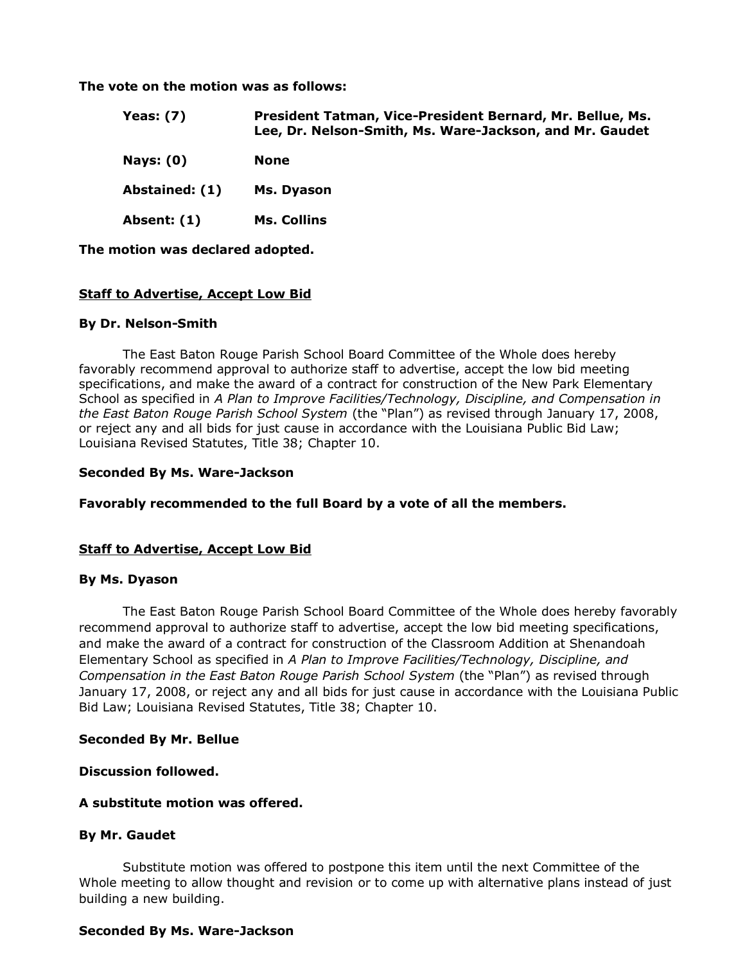**The vote on the motion was as follows:**

| Yeas: $(7)$    | President Tatman, Vice-President Bernard, Mr. Bellue, Ms.<br>Lee, Dr. Nelson-Smith, Ms. Ware-Jackson, and Mr. Gaudet |
|----------------|----------------------------------------------------------------------------------------------------------------------|
| Nays: $(0)$    | <b>None</b>                                                                                                          |
| Abstained: (1) | Ms. Dyason                                                                                                           |
| Absent: (1)    | Ms. Collins                                                                                                          |

**The motion was declared adopted.**

### **Staff to Advertise, Accept Low Bid**

#### **By Dr. Nelson-Smith**

The East Baton Rouge Parish School Board Committee of the Whole does hereby favorably recommend approval to authorize staff to advertise, accept the low bid meeting specifications, and make the award of a contract for construction of the New Park Elementary School as specified in *A Plan to Improve Facilities/Technology, Discipline, and Compensation in the East Baton Rouge Parish School System* (the "Plan") as revised through January 17, 2008, or reject any and all bids for just cause in accordance with the Louisiana Public Bid Law; Louisiana Revised Statutes, Title 38; Chapter 10.

#### **Seconded By Ms. Ware-Jackson**

**Favorably recommended to the full Board by a vote of all the members.**

### **Staff to Advertise, Accept Low Bid**

#### **By Ms. Dyason**

The East Baton Rouge Parish School Board Committee of the Whole does hereby favorably recommend approval to authorize staff to advertise, accept the low bid meeting specifications, and make the award of a contract for construction of the Classroom Addition at Shenandoah Elementary School as specified in *A Plan to Improve Facilities/Technology, Discipline, and Compensation in the East Baton Rouge Parish School System* (the "Plan") as revised through January 17, 2008, or reject any and all bids for just cause in accordance with the Louisiana Public Bid Law; Louisiana Revised Statutes, Title 38; Chapter 10.

### **Seconded By Mr. Bellue**

**Discussion followed.**

# **A substitute motion was offered.**

### **By Mr. Gaudet**

Substitute motion was offered to postpone this item until the next Committee of the Whole meeting to allow thought and revision or to come up with alternative plans instead of just building a new building.

#### **Seconded By Ms. Ware-Jackson**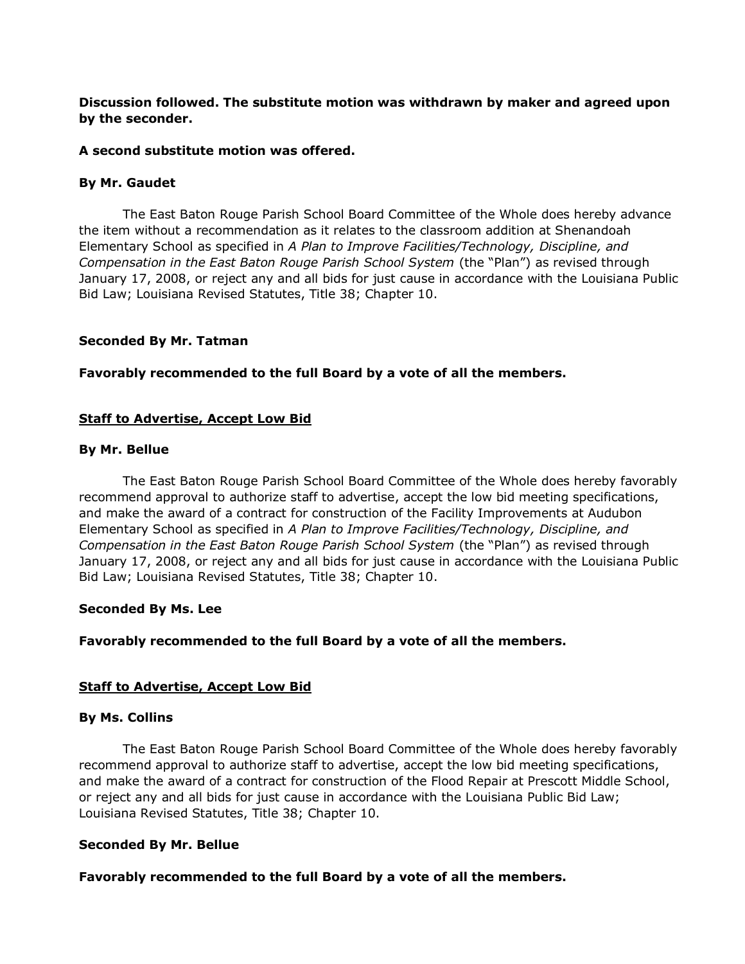# **Discussion followed. The substitute motion was withdrawn by maker and agreed upon by the seconder.**

## **A second substitute motion was offered.**

## **By Mr. Gaudet**

The East Baton Rouge Parish School Board Committee of the Whole does hereby advance the item without a recommendation as it relates to the classroom addition at Shenandoah Elementary School as specified in *A Plan to Improve Facilities/Technology, Discipline, and Compensation in the East Baton Rouge Parish School System* (the "Plan") as revised through January 17, 2008, or reject any and all bids for just cause in accordance with the Louisiana Public Bid Law; Louisiana Revised Statutes, Title 38; Chapter 10.

# **Seconded By Mr. Tatman**

# **Favorably recommended to the full Board by a vote of all the members.**

# **Staff to Advertise, Accept Low Bid**

# **By Mr. Bellue**

The East Baton Rouge Parish School Board Committee of the Whole does hereby favorably recommend approval to authorize staff to advertise, accept the low bid meeting specifications, and make the award of a contract for construction of the Facility Improvements at Audubon Elementary School as specified in *A Plan to Improve Facilities/Technology, Discipline, and Compensation in the East Baton Rouge Parish School System* (the "Plan") as revised through January 17, 2008, or reject any and all bids for just cause in accordance with the Louisiana Public Bid Law; Louisiana Revised Statutes, Title 38; Chapter 10.

### **Seconded By Ms. Lee**

# **Favorably recommended to the full Board by a vote of all the members.**

# **Staff to Advertise, Accept Low Bid**

### **By Ms. Collins**

The East Baton Rouge Parish School Board Committee of the Whole does hereby favorably recommend approval to authorize staff to advertise, accept the low bid meeting specifications, and make the award of a contract for construction of the Flood Repair at Prescott Middle School, or reject any and all bids for just cause in accordance with the Louisiana Public Bid Law; Louisiana Revised Statutes, Title 38; Chapter 10.

### **Seconded By Mr. Bellue**

# **Favorably recommended to the full Board by a vote of all the members.**